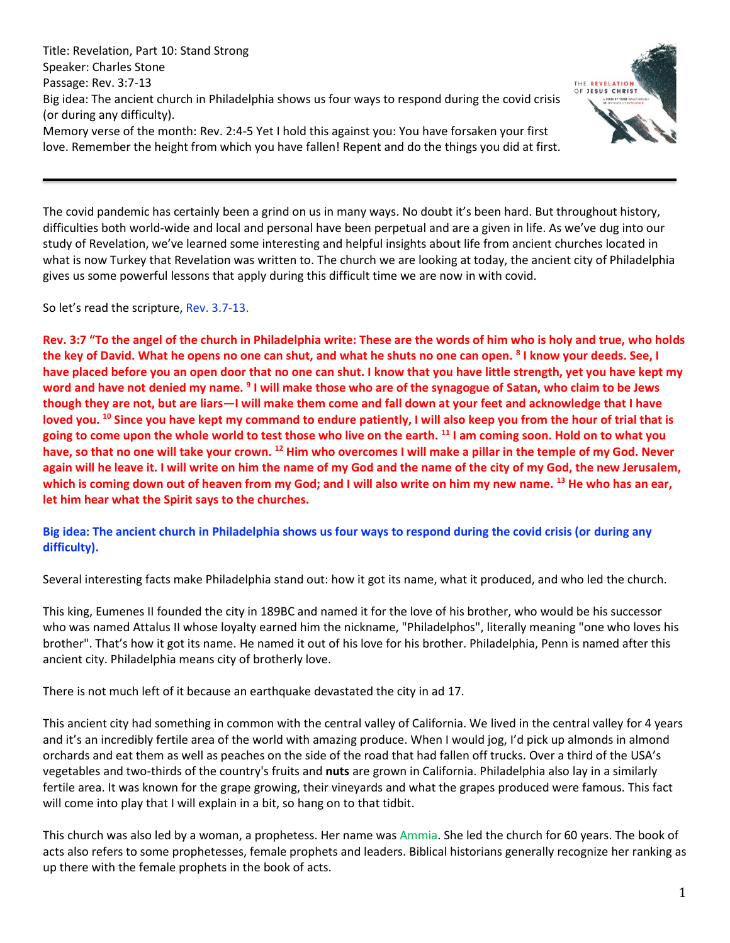Title: Revelation, Part 10: Stand Strong Speaker: Charles Stone Passage: Rev. 3:7-13 Big idea: The ancient church in Philadelphia shows us four ways to respond during the covid crisis (or during any difficulty). Memory verse of the month: Rev. 2:4-5 Yet I hold this against you: You have forsaken your first love. Remember the height from which you have fallen! Repent and do the things you did at first.



The covid pandemic has certainly been a grind on us in many ways. No doubt it's been hard. But throughout history, difficulties both world-wide and local and personal have been perpetual and are a given in life. As we've dug into our study of Revelation, we've learned some interesting and helpful insights about life from ancient churches located in what is now Turkey that Revelation was written to. The church we are looking at today, the ancient city of Philadelphia gives us some powerful lessons that apply during this difficult time we are now in with covid.

So let's read the scripture, Rev. 3.7-13.

**Rev. 3:7 "To the angel of the church in Philadelphia write: These are the words of him who is holy and true, who holds the key of David. What he opens no one can shut, and what he shuts no one can open. <sup>8</sup> I know your deeds. See, I have placed before you an open door that no one can shut. I know that you have little strength, yet you have kept my**  word and have not denied my name. <sup>9</sup> I will make those who are of the synagogue of Satan, who claim to be Jews **though they are not, but are liars—I will make them come and fall down at your feet and acknowledge that I have loved you. <sup>10</sup> Since you have kept my command to endure patiently, I will also keep you from the hour of trial that is going to come upon the whole world to test those who live on the earth. <sup>11</sup> I am coming soon. Hold on to what you have, so that no one will take your crown. <sup>12</sup> Him who overcomes I will make a pillar in the temple of my God. Never again will he leave it. I will write on him the name of my God and the name of the city of my God, the new Jerusalem, which is coming down out of heaven from my God; and I will also write on him my new name. <sup>13</sup> He who has an ear, let him hear what the Spirit says to the churches.**

**Big idea: The ancient church in Philadelphia shows us four ways to respond during the covid crisis (or during any difficulty).**

Several interesting facts make Philadelphia stand out: how it got its name, what it produced, and who led the church.

This king, Eumenes II founded the city in 189BC and named it for the love of his brother, who would be his successor who was named Attalus II whose loyalty earned him the nickname, "Philadelphos", literally meaning "one who loves his brother". That's how it got its name. He named it out of his love for his brother. Philadelphia, Penn is named after this ancient city. Philadelphia means city of brotherly love.

There is not much left of it because an earthquake devastated the city in ad 17.

This ancient city had something in common with the central valley of California. We lived in the central valley for 4 years and it's an incredibly fertile area of the world with amazing produce. When I would jog, I'd pick up almonds in almond orchards and eat them as well as peaches on the side of the road that had fallen off trucks. Over a third of the USA's vegetables and two-thirds of the country's fruits and **nuts** are grown in California. Philadelphia also lay in a similarly fertile area. It was known for the grape growing, their vineyards and what the grapes produced were famous. This fact will come into play that I will explain in a bit, so hang on to that tidbit.

This church was also led by a woman, a prophetess. Her name was Ammia. She led the church for 60 years. The book of acts also refers to some prophetesses, female prophets and leaders. Biblical historians generally recognize her ranking as up there with the female prophets in the book of acts.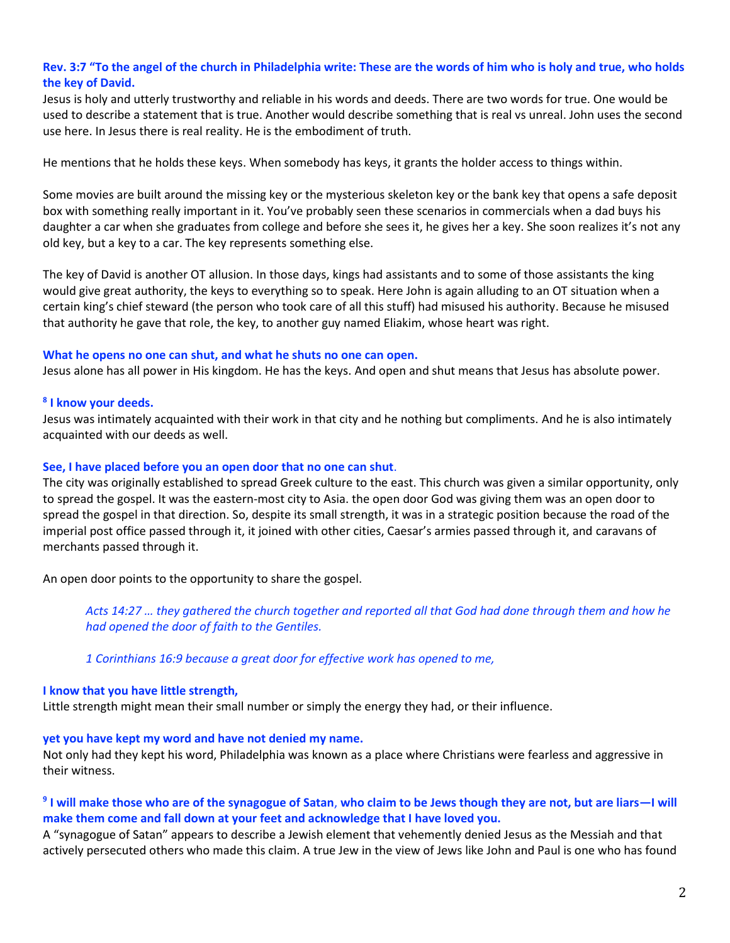# **Rev. 3:7 "To the angel of the church in Philadelphia write: These are the words of him who is holy and true, who holds the key of David.**

Jesus is holy and utterly trustworthy and reliable in his words and deeds. There are two words for true. One would be used to describe a statement that is true. Another would describe something that is real vs unreal. John uses the second use here. In Jesus there is real reality. He is the embodiment of truth.

He mentions that he holds these keys. When somebody has keys, it grants the holder access to things within.

Some movies are built around the missing key or the mysterious skeleton key or the bank key that opens a safe deposit box with something really important in it. You've probably seen these scenarios in commercials when a dad buys his daughter a car when she graduates from college and before she sees it, he gives her a key. She soon realizes it's not any old key, but a key to a car. The key represents something else.

The key of David is another OT allusion. In those days, kings had assistants and to some of those assistants the king would give great authority, the keys to everything so to speak. Here John is again alluding to an OT situation when a certain king's chief steward (the person who took care of all this stuff) had misused his authority. Because he misused that authority he gave that role, the key, to another guy named Eliakim, whose heart was right.

#### **What he opens no one can shut, and what he shuts no one can open.**

Jesus alone has all power in His kingdom. He has the keys. And open and shut means that Jesus has absolute power.

### **8 I know your deeds.**

Jesus was intimately acquainted with their work in that city and he nothing but compliments. And he is also intimately acquainted with our deeds as well.

#### **See, I have placed before you an open door that no one can shut**.

The city was originally established to spread Greek culture to the east. This church was given a similar opportunity, only to spread the gospel. It was the eastern-most city to Asia. the open door God was giving them was an open door to spread the gospel in that direction. So, despite its small strength, it was in a strategic position because the road of the imperial post office passed through it, it joined with other cities, Caesar's armies passed through it, and caravans of merchants passed through it.

An open door points to the opportunity to share the gospel.

*Acts 14:27 … they gathered the church together and reported all that God had done through them and how he had opened the door of faith to the Gentiles.*

*1 Corinthians 16:9 because a great door for effective work has opened to me,*

### **I know that you have little strength,**

Little strength might mean their small number or simply the energy they had, or their influence.

#### **yet you have kept my word and have not denied my name.**

Not only had they kept his word, Philadelphia was known as a place where Christians were fearless and aggressive in their witness.

# **9 I will make those who are of the synagogue of Satan**, **who claim to be Jews though they are not, but are liars—I will make them come and fall down at your feet and acknowledge that I have loved you.**

A "synagogue of Satan" appears to describe a Jewish element that vehemently denied Jesus as the Messiah and that actively persecuted others who made this claim. A true Jew in the view of Jews like John and Paul is one who has found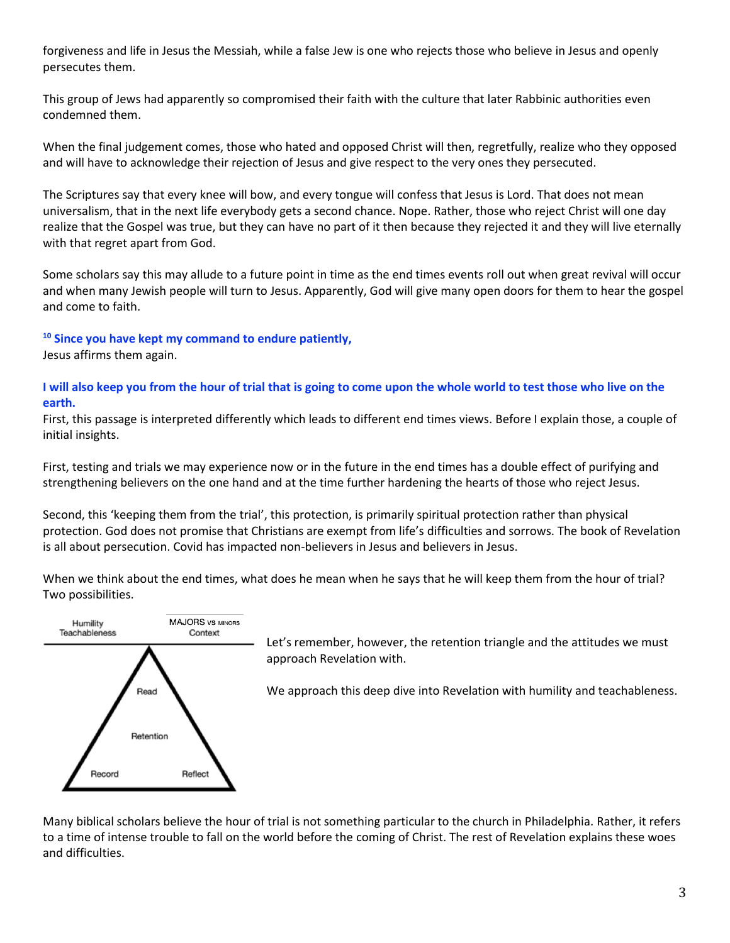forgiveness and life in Jesus the Messiah, while a false Jew is one who rejects those who believe in Jesus and openly persecutes them.

This group of Jews had apparently so compromised their faith with the culture that later Rabbinic authorities even condemned them.

When the final judgement comes, those who hated and opposed Christ will then, regretfully, realize who they opposed and will have to acknowledge their rejection of Jesus and give respect to the very ones they persecuted.

The Scriptures say that every knee will bow, and every tongue will confess that Jesus is Lord. That does not mean universalism, that in the next life everybody gets a second chance. Nope. Rather, those who reject Christ will one day realize that the Gospel was true, but they can have no part of it then because they rejected it and they will live eternally with that regret apart from God.

Some scholars say this may allude to a future point in time as the end times events roll out when great revival will occur and when many Jewish people will turn to Jesus. Apparently, God will give many open doors for them to hear the gospel and come to faith.

**<sup>10</sup> Since you have kept my command to endure patiently,**

Jesus affirms them again.

**I will also keep you from the hour of trial that is going to come upon the whole world to test those who live on the earth.**

First, this passage is interpreted differently which leads to different end times views. Before I explain those, a couple of initial insights.

First, testing and trials we may experience now or in the future in the end times has a double effect of purifying and strengthening believers on the one hand and at the time further hardening the hearts of those who reject Jesus.

Second, this 'keeping them from the trial', this protection, is primarily spiritual protection rather than physical protection. God does not promise that Christians are exempt from life's difficulties and sorrows. The book of Revelation is all about persecution. Covid has impacted non-believers in Jesus and believers in Jesus.

When we think about the end times, what does he mean when he says that he will keep them from the hour of trial? Two possibilities.



Let's remember, however, the retention triangle and the attitudes we must approach Revelation with.

We approach this deep dive into Revelation with humility and teachableness.

Many biblical scholars believe the hour of trial is not something particular to the church in Philadelphia. Rather, it refers to a time of intense trouble to fall on the world before the coming of Christ. The rest of Revelation explains these woes and difficulties.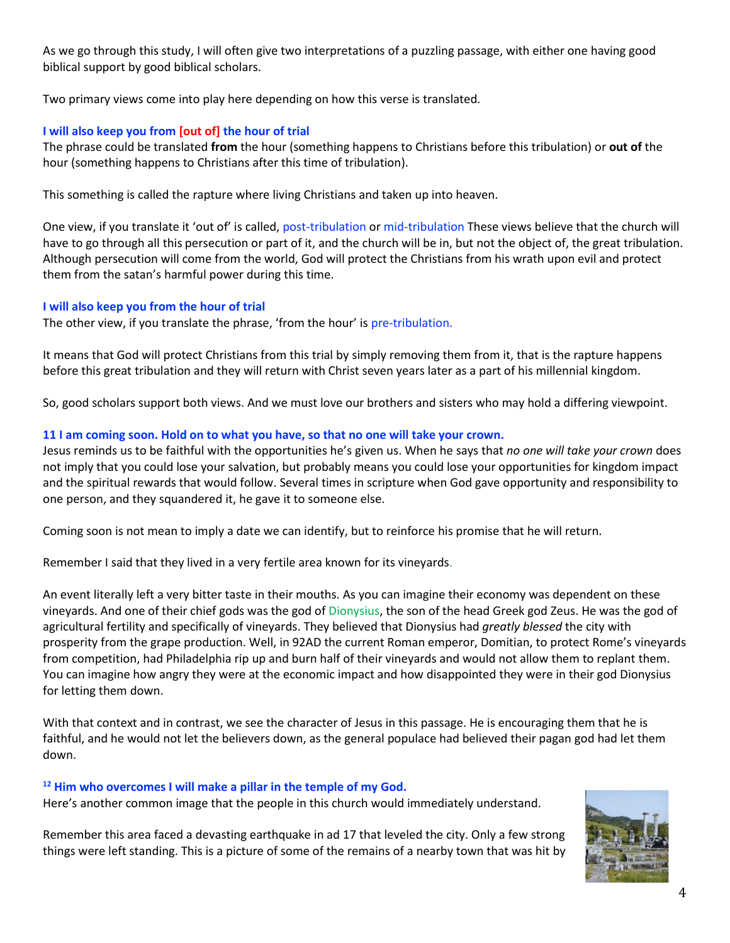As we go through this study, I will often give two interpretations of a puzzling passage, with either one having good biblical support by good biblical scholars.

Two primary views come into play here depending on how this verse is translated.

# **I will also keep you from [out of] the hour of trial**

The phrase could be translated **from** the hour (something happens to Christians before this tribulation) or **out of** the hour (something happens to Christians after this time of tribulation).

This something is called the rapture where living Christians and taken up into heaven.

One view, if you translate it 'out of' is called, post-tribulation or mid-tribulation These views believe that the church will have to go through all this persecution or part of it, and the church will be in, but not the object of, the great tribulation. Although persecution will come from the world, God will protect the Christians from his wrath upon evil and protect them from the satan's harmful power during this time.

### **I will also keep you from the hour of trial**

The other view, if you translate the phrase, 'from the hour' is pre-tribulation.

It means that God will protect Christians from this trial by simply removing them from it, that is the rapture happens before this great tribulation and they will return with Christ seven years later as a part of his millennial kingdom.

So, good scholars support both views. And we must love our brothers and sisters who may hold a differing viewpoint.

# **11 I am coming soon. Hold on to what you have, so that no one will take your crown.**

Jesus reminds us to be faithful with the opportunities he's given us. When he says that *no one will take your crown* does not imply that you could lose your salvation, but probably means you could lose your opportunities for kingdom impact and the spiritual rewards that would follow. Several times in scripture when God gave opportunity and responsibility to one person, and they squandered it, he gave it to someone else.

Coming soon is not mean to imply a date we can identify, but to reinforce his promise that he will return.

Remember I said that they lived in a very fertile area known for its vineyards.

An event literally left a very bitter taste in their mouths. As you can imagine their economy was dependent on these vineyards. And one of their chief gods was the god of Dionysius, the son of the head Greek god Zeus. He was the god of agricultural fertility and specifically of vineyards. They believed that Dionysius had *greatly blessed* the city with prosperity from the grape production. Well, in 92AD the current Roman emperor, Domitian, to protect Rome's vineyards from competition, had Philadelphia rip up and burn half of their vineyards and would not allow them to replant them. You can imagine how angry they were at the economic impact and how disappointed they were in their god Dionysius for letting them down.

With that context and in contrast, we see the character of Jesus in this passage. He is encouraging them that he is faithful, and he would not let the believers down, as the general populace had believed their pagan god had let them down.

### **<sup>12</sup> Him who overcomes I will make a pillar in the temple of my God.**

Here's another common image that the people in this church would immediately understand.

Remember this area faced a devasting earthquake in ad 17 that leveled the city. Only a few strong things were left standing. This is a picture of some of the remains of a nearby town that was hit by

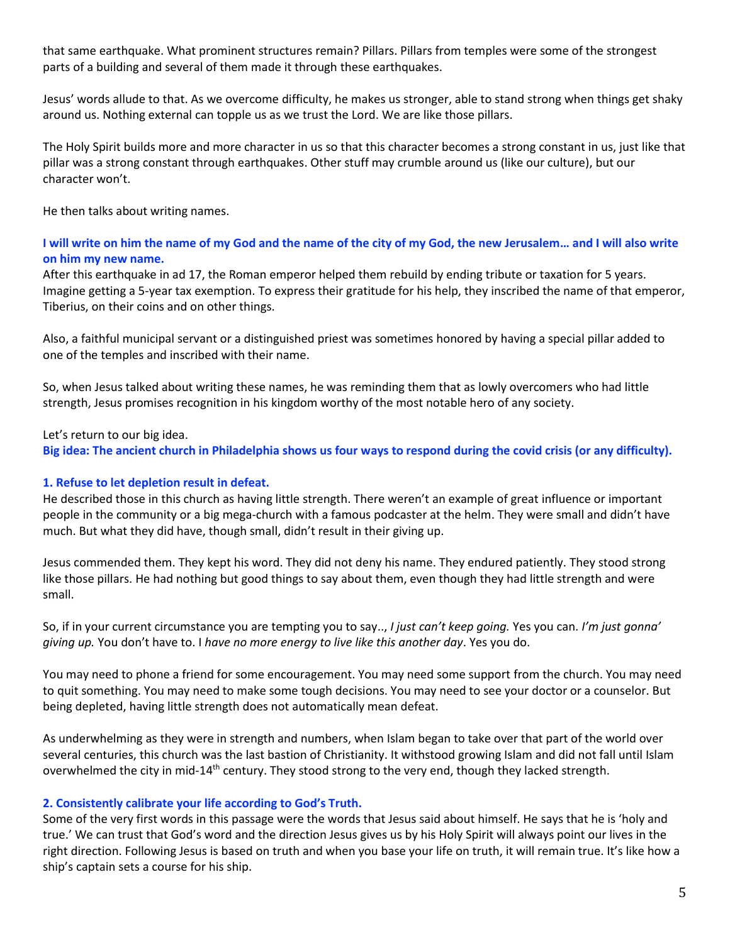that same earthquake. What prominent structures remain? Pillars. Pillars from temples were some of the strongest parts of a building and several of them made it through these earthquakes.

Jesus' words allude to that. As we overcome difficulty, he makes us stronger, able to stand strong when things get shaky around us. Nothing external can topple us as we trust the Lord. We are like those pillars.

The Holy Spirit builds more and more character in us so that this character becomes a strong constant in us, just like that pillar was a strong constant through earthquakes. Other stuff may crumble around us (like our culture), but our character won't.

He then talks about writing names.

# **I will write on him the name of my God and the name of the city of my God, the new Jerusalem… and I will also write on him my new name.**

After this earthquake in ad 17, the Roman emperor helped them rebuild by ending tribute or taxation for 5 years. Imagine getting a 5-year tax exemption. To express their gratitude for his help, they inscribed the name of that emperor, Tiberius, on their coins and on other things.

Also, a faithful municipal servant or a distinguished priest was sometimes honored by having a special pillar added to one of the temples and inscribed with their name.

So, when Jesus talked about writing these names, he was reminding them that as lowly overcomers who had little strength, Jesus promises recognition in his kingdom worthy of the most notable hero of any society.

Let's return to our big idea.

**Big idea: The ancient church in Philadelphia shows us four ways to respond during the covid crisis (or any difficulty).**

### **1. Refuse to let depletion result in defeat.**

He described those in this church as having little strength. There weren't an example of great influence or important people in the community or a big mega-church with a famous podcaster at the helm. They were small and didn't have much. But what they did have, though small, didn't result in their giving up.

Jesus commended them. They kept his word. They did not deny his name. They endured patiently. They stood strong like those pillars. He had nothing but good things to say about them, even though they had little strength and were small.

So, if in your current circumstance you are tempting you to say.., *I just can't keep going.* Yes you can. *I'm just gonna' giving up.* You don't have to. I *have no more energy to live like this another day*. Yes you do.

You may need to phone a friend for some encouragement. You may need some support from the church. You may need to quit something. You may need to make some tough decisions. You may need to see your doctor or a counselor. But being depleted, having little strength does not automatically mean defeat.

As underwhelming as they were in strength and numbers, when Islam began to take over that part of the world over several centuries, this church was the last bastion of Christianity. It withstood growing Islam and did not fall until Islam overwhelmed the city in mid-14<sup>th</sup> century. They stood strong to the very end, though they lacked strength.

### **2. Consistently calibrate your life according to God's Truth.**

Some of the very first words in this passage were the words that Jesus said about himself. He says that he is 'holy and true.' We can trust that God's word and the direction Jesus gives us by his Holy Spirit will always point our lives in the right direction. Following Jesus is based on truth and when you base your life on truth, it will remain true. It's like how a ship's captain sets a course for his ship.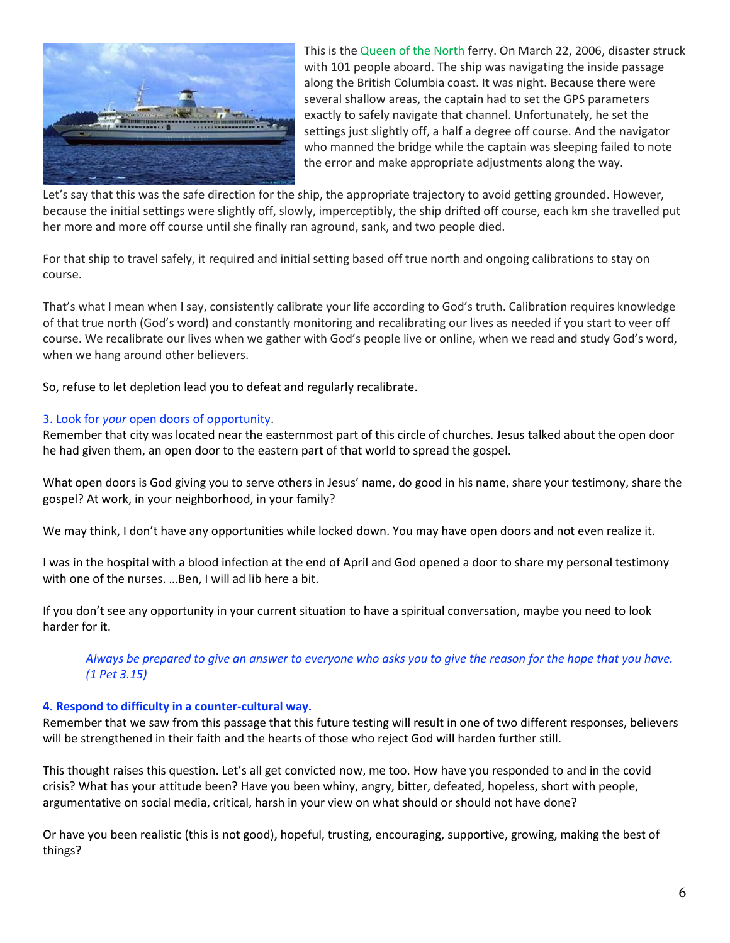

This is the Queen of the North ferry. On March 22, 2006, disaster struck with 101 people aboard. The ship was navigating the inside passage along the British Columbia coast. It was night. Because there were several shallow areas, the captain had to set the GPS parameters exactly to safely navigate that channel. Unfortunately, he set the settings just slightly off, a half a degree off course. And the navigator who manned the bridge while the captain was sleeping failed to note the error and make appropriate adjustments along the way.

Let's say that this was the safe direction for the ship, the appropriate trajectory to avoid getting grounded. However, because the initial settings were slightly off, slowly, imperceptibly, the ship drifted off course, each km she travelled put her more and more off course until she finally ran aground, sank, and two people died.

For that ship to travel safely, it required and initial setting based off true north and ongoing calibrations to stay on course.

That's what I mean when I say, consistently calibrate your life according to God's truth. Calibration requires knowledge of that true north (God's word) and constantly monitoring and recalibrating our lives as needed if you start to veer off course. We recalibrate our lives when we gather with God's people live or online, when we read and study God's word, when we hang around other believers.

So, refuse to let depletion lead you to defeat and regularly recalibrate.

# 3. Look for *your* open doors of opportunity.

Remember that city was located near the easternmost part of this circle of churches. Jesus talked about the open door he had given them, an open door to the eastern part of that world to spread the gospel.

What open doors is God giving you to serve others in Jesus' name, do good in his name, share your testimony, share the gospel? At work, in your neighborhood, in your family?

We may think, I don't have any opportunities while locked down. You may have open doors and not even realize it.

I was in the hospital with a blood infection at the end of April and God opened a door to share my personal testimony with one of the nurses. …Ben, I will ad lib here a bit.

If you don't see any opportunity in your current situation to have a spiritual conversation, maybe you need to look harder for it.

*Always be prepared to give an answer to everyone who asks you to give the reason for the hope that you have. (1 Pet 3.15)* 

### **4. Respond to difficulty in a counter-cultural way.**

Remember that we saw from this passage that this future testing will result in one of two different responses, believers will be strengthened in their faith and the hearts of those who reject God will harden further still.

This thought raises this question. Let's all get convicted now, me too. How have you responded to and in the covid crisis? What has your attitude been? Have you been whiny, angry, bitter, defeated, hopeless, short with people, argumentative on social media, critical, harsh in your view on what should or should not have done?

Or have you been realistic (this is not good), hopeful, trusting, encouraging, supportive, growing, making the best of things?